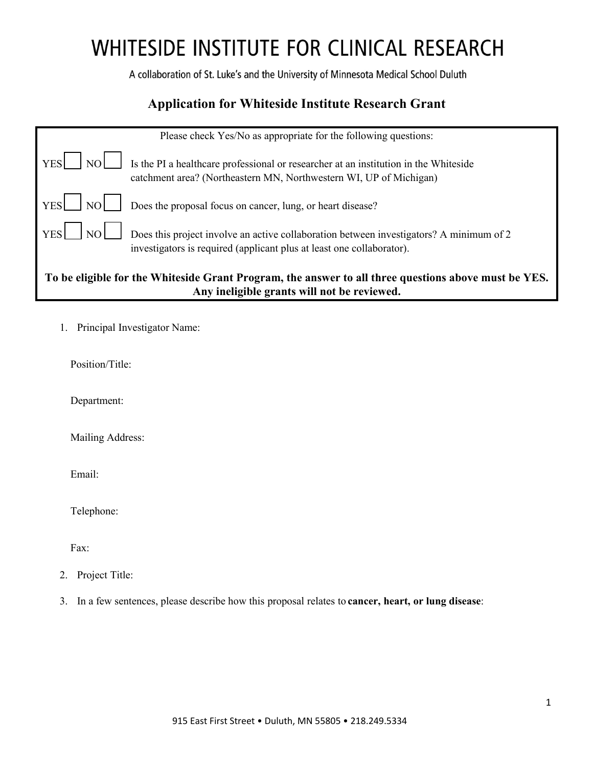A collaboration of St. Luke's and the University of Minnesota Medical School Duluth

### **Application for Whiteside Institute Research Grant**

|                                                                                                                                                     | Please check Yes/No as appropriate for the following questions:                                                                                                  |  |  |
|-----------------------------------------------------------------------------------------------------------------------------------------------------|------------------------------------------------------------------------------------------------------------------------------------------------------------------|--|--|
| <b>YES</b>                                                                                                                                          | Is the PI a healthcare professional or researcher at an institution in the Whiteside<br>catchment area? (Northeastern MN, Northwestern WI, UP of Michigan)       |  |  |
| YES<br>l nol                                                                                                                                        | Does the proposal focus on cancer, lung, or heart disease?                                                                                                       |  |  |
| <b>YES</b><br>NO                                                                                                                                    | Does this project involve an active collaboration between investigators? A minimum of 2<br>investigators is required (applicant plus at least one collaborator). |  |  |
| To be eligible for the Whiteside Grant Program, the answer to all three questions above must be YES.<br>Any ineligible grants will not be reviewed. |                                                                                                                                                                  |  |  |

1. Principal Investigator Name:

Position/Title:

Department:

Mailing Address:

Email:

Telephone:

Fax:

- 2. Project Title:
- 3. In a few sentences, please describe how this proposal relates to **cancer, heart, or lung disease**: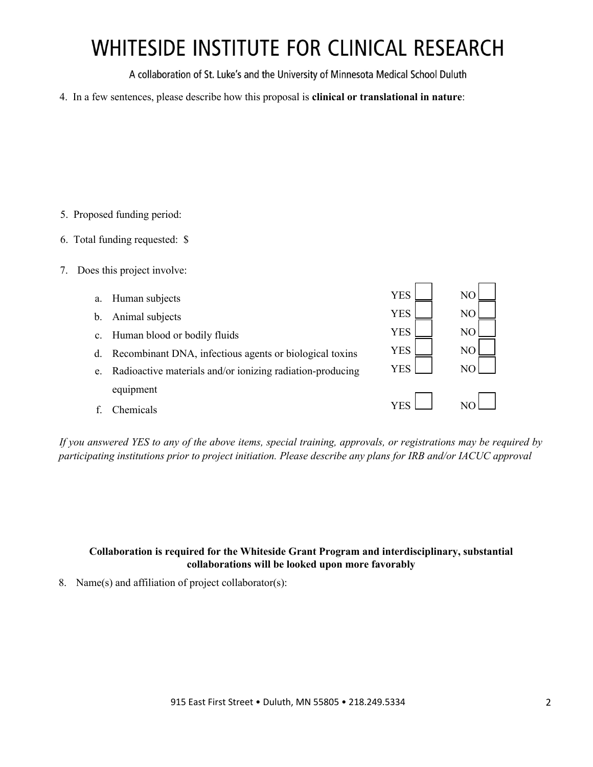A collaboration of St. Luke's and the University of Minnesota Medical School Duluth

4. In a few sentences, please describe how this proposal is **clinical or translational in nature**:

- 5. Proposed funding period:
- 6. Total funding requested: \$
- 7. Does this project involve:

| a. | Human subjects                                            | <b>YES</b> | N <sub>O</sub> |
|----|-----------------------------------------------------------|------------|----------------|
| b. | Animal subjects                                           | <b>YES</b> | N <sub>O</sub> |
|    | c. Human blood or bodily fluids                           | <b>YES</b> | N <sub>O</sub> |
| d. | Recombinant DNA, infectious agents or biological toxins   | <b>YES</b> | N <sub>O</sub> |
| e. | Radioactive materials and/or ionizing radiation-producing | <b>YES</b> | NC             |
|    | equipment                                                 |            |                |
|    | <b>Chemicals</b>                                          | <b>YES</b> |                |
|    |                                                           |            |                |

*If you answered YES to any of the above items, special training, approvals, or registrations may be required by participating institutions prior to project initiation. Please describe any plans for IRB and/or IACUC approval*

#### **Collaboration is required for the Whiteside Grant Program and interdisciplinary, substantial collaborations will be looked upon more favorably**

8. Name(s) and affiliation of project collaborator(s):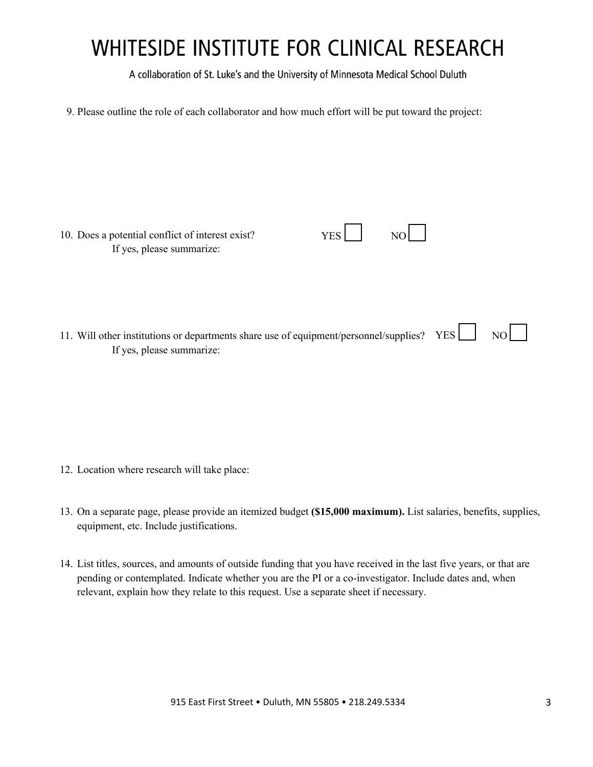A collaboration of St. Luke's and the University of Minnesota Medical School Duluth

9. Please outline the role of each collaborator and how much effort will be put toward the project:

| 10. Does a potential conflict of interest exist? | YES <sup>1</sup> | NO <sub>1</sub> |
|--------------------------------------------------|------------------|-----------------|
| If yes, please summarize:                        |                  |                 |

11. Will other institutions or departments share use of equipment/personnel/supplies? YES  $\Box$  NO If yes, please summarize:

- 12. Location where research will take place:
- 13. On a separate page, please provide an itemized budget **(\$15,000 maximum).** List salaries, benefits, supplies, equipment, etc. Include justifications.
- 14. List titles, sources, and amounts of outside funding that you have received in the last five years, or that are pending or contemplated. Indicate whether you are the PI or a co-investigator. Include dates and, when relevant, explain how they relate to this request. Use a separate sheet if necessary.